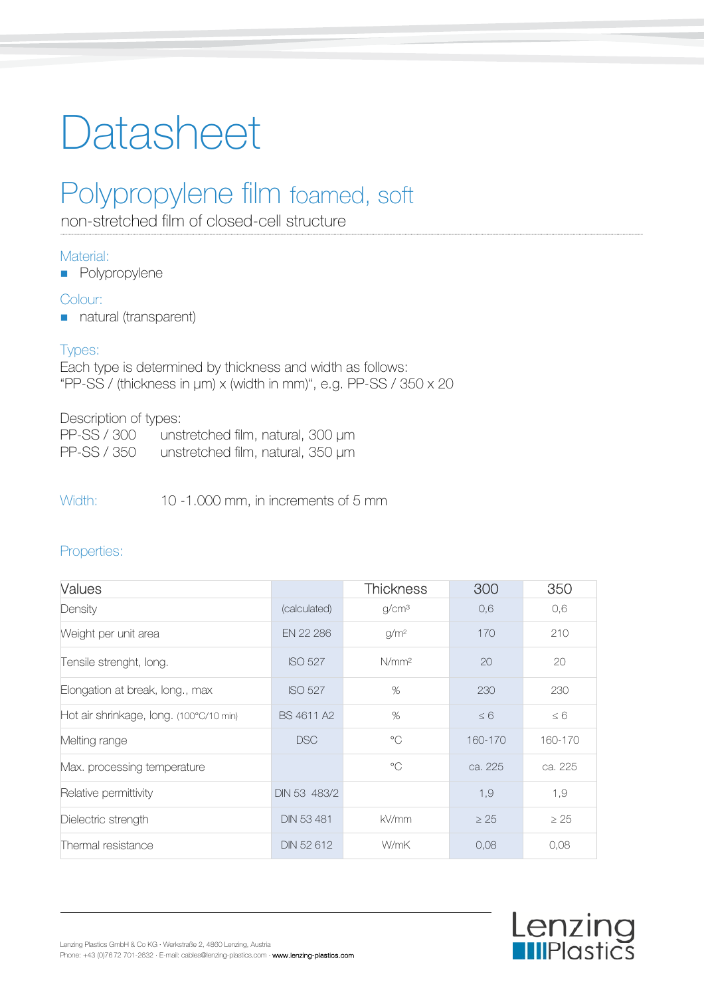# Datasheet

# Polypropylene film foamed, soft

non-stretched film of closed-cell structure

## Material:

**Polypropylene** 

## Colour:

natural (transparent)

# Types:

Each type is determined by thickness and width as follows: "PP-SS / (thickness in μm) x (width in mm)", e.g. PP-SS / 350 x 20

### Description of types:

| PP-SS / 300 | unstretched film, natural, 300 µm |  |
|-------------|-----------------------------------|--|
| PP-SS / 350 | unstretched film, natural, 350 µm |  |

Width: 10 -1.000 mm, in increments of 5 mm

# Properties:

| Values                                  |                   | <b>Thickness</b>  | 300       | 350       |
|-----------------------------------------|-------------------|-------------------|-----------|-----------|
| Density                                 | (calculated)      | g/cm <sup>3</sup> | 0,6       | 0,6       |
| Weight per unit area                    | EN 22 286         | g/m <sup>2</sup>  | 170       | 210       |
| Tensile strenght, long.                 | <b>ISO 527</b>    | N/mm <sup>2</sup> | 20        | 20        |
| Elongation at break, long., max         | <b>ISO 527</b>    | %                 | 230       | 230       |
| Hot air shrinkage, long. (100°C/10 min) | BS 4611 A2        | %                 | $\leq 6$  | $\leq 6$  |
| Melting range                           | <b>DSC</b>        | $^{\circ}$ C      | 160-170   | 160-170   |
| Max. processing temperature             |                   | $^{\circ}$ C      | ca. 225   | ca. 225   |
| Relative permittivity                   | DIN 53 483/2      |                   | 1,9       | 1,9       |
| Dielectric strength                     | <b>DIN 53 481</b> | kV/mm             | $\geq$ 25 | $\geq 25$ |
| Thermal resistance                      | DIN 52 612        | W/mK              | 0.08      | 0,08      |